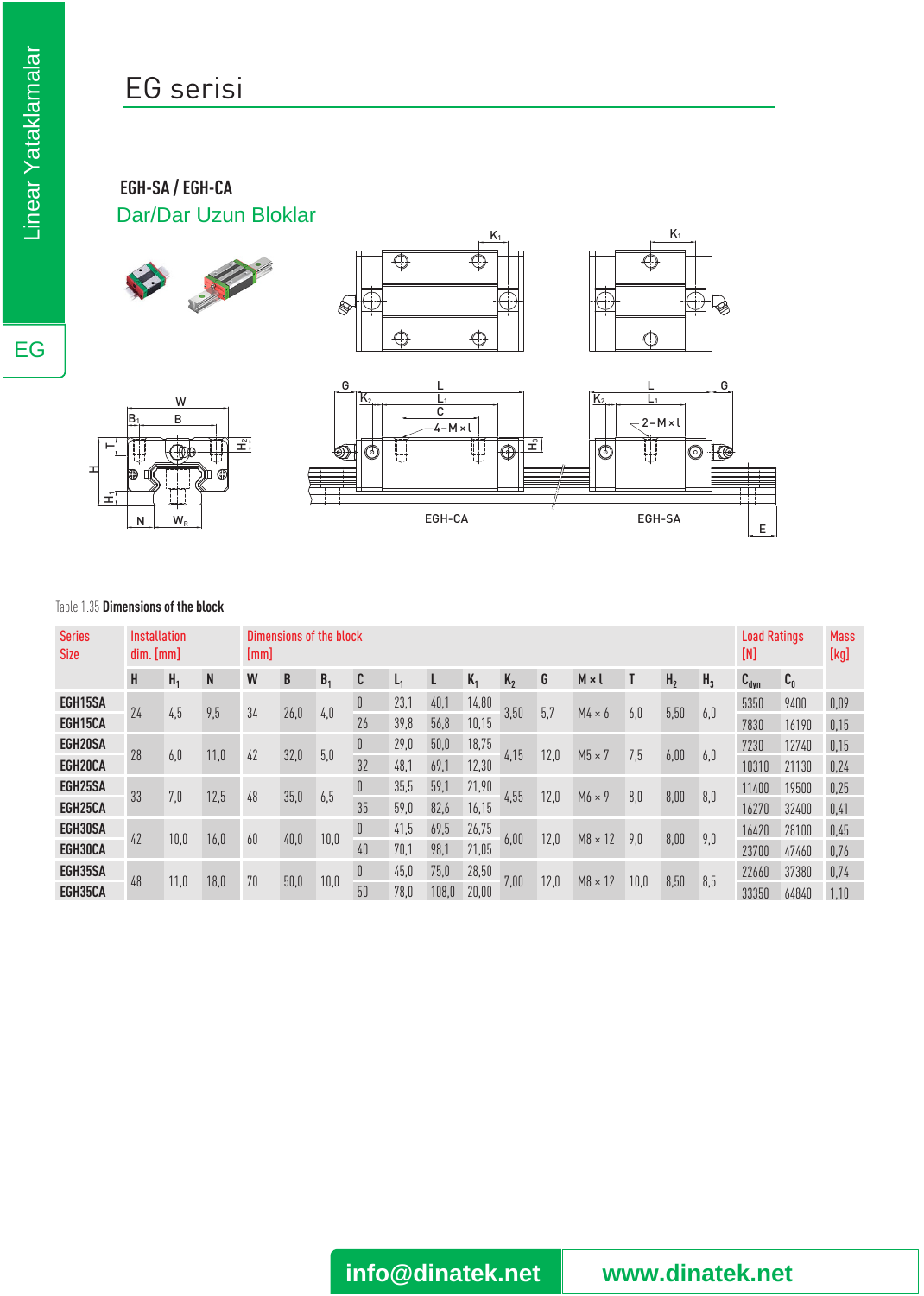# EG serisi

### **EGH-SA / EGH-CA** Dar/Dar Uzun Bloklar





#### Table 1.35 **Dimensions of the block**

H1

 $\mathord{\vdash}$ 

H

W<sub>w</sub>

W  $\overline{B}$ 

Club

 $\mathbf{H}$ 

₩

 $\bigoplus$ 

| <b>Series</b><br><b>Size</b> | Installation<br>dim. [mm] |                |      | Dimensions of the block<br>$\lfloor$ mm $\rfloor$ |      |                |     |       |       |       |                |      |                |               |                |                | <b>Load Ratings</b><br>[N] |                | <b>Mass</b><br>[kg] |      |
|------------------------------|---------------------------|----------------|------|---------------------------------------------------|------|----------------|-----|-------|-------|-------|----------------|------|----------------|---------------|----------------|----------------|----------------------------|----------------|---------------------|------|
|                              | H                         | H <sub>1</sub> | N    | W                                                 | B    | B <sub>1</sub> | C   | $L_1$ |       | $K_1$ | K <sub>2</sub> | G    | $M \times I$   |               | H <sub>2</sub> | H <sub>3</sub> | $C_{\text{dyn}}$           | $\mathbf{C}_0$ |                     |      |
| EGH15SA                      | 24                        |                |      |                                                   |      |                | 0   | 23,1  | 40,1  | 14,80 | 3,50           | 5,7  | $M4 \times 6$  | 6,0           | 5,50           |                | 5350                       | 9400           | 0,09                |      |
| EGH15CA                      |                           | 4,5            | 9,5  | 34                                                | 26,0 | 4,0            | 26  | 39,8  | 56,8  | 10,15 |                |      |                |               |                | 6,0            | 7830                       | 16190          | 0,15                |      |
| EGH20SA                      |                           | 6,0            | 11,0 | 42                                                | 32,0 | 5,0            | 0   | 29,0  | 50,0  | 18,75 | 4,15           | 12,0 | $M5 \times 7$  | 7,5           | 6,00           | 6,0            | 7230                       | 12740          | 0,15                |      |
| EGH20CA                      | 28                        |                |      |                                                   |      |                | 32  | 48,1  | 69,1  | 12,30 |                |      |                |               |                |                | 10310                      | 21130          | 0,24                |      |
| EGH25SA                      | 33                        | 7,0            | 12,5 |                                                   | 48   | 35,0           | 6,5 | 0     | 35,5  | 59,1  | 21,90          |      | 12,0           | $M6 \times 9$ | 8,0            | 8,00           | 8,0                        | 11400          | 19500               | 0,25 |
| EGH25CA                      |                           |                |      |                                                   |      |                | 35  | 59,0  | 82,6  | 16,15 | 4,55           |      |                |               |                |                | 16270                      | 32400          | 0,41                |      |
| EGH30SA                      | 42                        | 10,0           | 16,0 | 60                                                | 40,0 | 10,0           | 0   | 41,5  | 69,5  | 26,75 | 6,00           | 12,0 | $M8 \times 12$ | 9,0           | 8,00           | 9,0            | 16420                      | 28100          | 0,45                |      |
| EGH30CA                      |                           |                |      |                                                   |      |                | 40  | 70,1  | 98,1  | 21,05 |                |      |                |               |                |                | 23700                      | 47460          | 0,76                |      |
| EGH35SA                      |                           |                | 18,0 | 70                                                | 50,0 | 10,0           | 0   | 45,0  | 75,0  | 28,50 | 7,00           | 12,0 |                | 10,0          | 8,50           | 8,5            | 22660                      | 37380          | 0,74                |      |
| EGH35CA                      | 48                        | 11,0           |      |                                                   |      |                | 50  | 78,0  | 108,0 | 20,00 |                |      | $M8 \times 12$ |               |                |                | 33350                      | 64840          | 1.10                |      |



**info@dinatek.net www.dinatek.net**

EG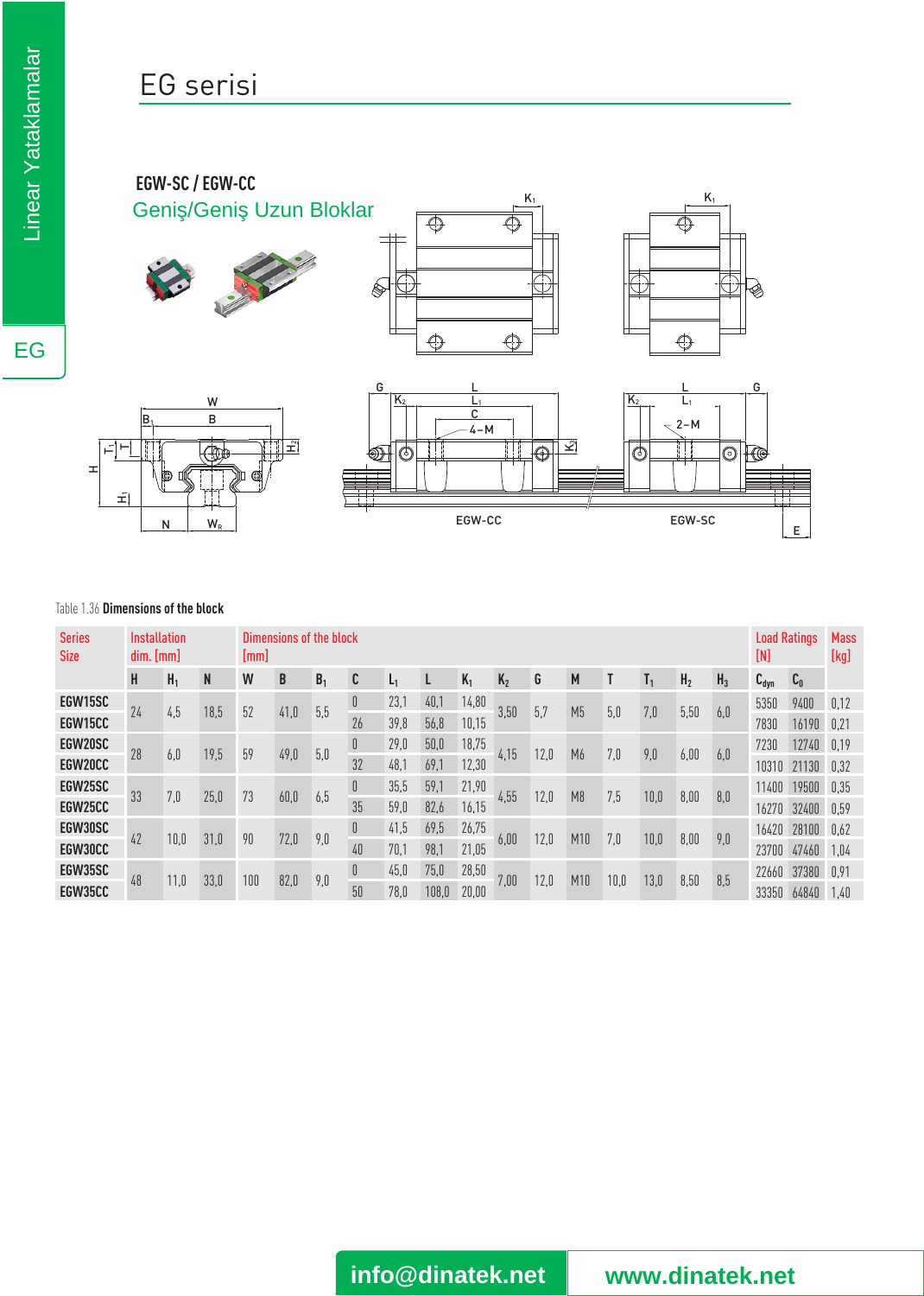## EG serisi

### **EGW-SC / EGW-CC** Geni / Geni Uzun Bloklar









E

 $K_1$ 

€

 $\overline{\mathbb{Q}}$ 

### Table 1.36 **Dimensions of the block**

| <b>Series</b><br><b>Size</b> | Installation<br>dim. [mm] |                |      | Dimensions of the block<br>[mm] |      |                |    |                |       |       |         |      |                |             |      |                | <b>Load Ratings</b><br>[N] |           | <b>Mass</b><br>[kg]                    |      |
|------------------------------|---------------------------|----------------|------|---------------------------------|------|----------------|----|----------------|-------|-------|---------|------|----------------|-------------|------|----------------|----------------------------|-----------|----------------------------------------|------|
|                              | H                         | H <sub>1</sub> | N    | W                               | B    | B <sub>1</sub> | C  | L <sub>1</sub> | L     | $K_1$ | $K_{2}$ | G    | M              |             |      | H <sub>2</sub> | H <sub>3</sub>             | $C_{dyn}$ | $\mathfrak{c}_{\scriptscriptstyle{0}}$ |      |
| EGW15SC                      |                           |                |      | 52                              | 41,0 |                | 0  | 23,1           | 40,1  | 14,80 | 3,50    | 5,7  | M <sub>5</sub> | 5,0         | 7,0  |                |                            | 5350      | 9400                                   | 0,12 |
| EGW15CC                      | 24                        | 4,5            | 18,5 |                                 |      | 5,5            | 26 | 39,8           | 56,8  | 10,15 |         |      |                |             |      | 5,50           | 6,0                        | 7830      | 16190                                  | 0.21 |
| EGW20SC                      | 28                        | 6,0            | 19,5 | 59                              | 49,0 | 5,0            | 0  | 29,0           | 50,0  | 18,75 |         | 12,0 | M6             | 7,0         | 9,0  | 6,00           | 6,0                        | 7230      | 12740                                  | 0.19 |
| EGW20CC                      |                           |                |      |                                 |      |                | 32 | 48,1           | 69.7  | 12,30 | 4,15    |      |                |             |      |                |                            | 10310     | 21130                                  | 0.32 |
| EGW25SC                      | 33                        | 7,0            | 25,0 | 73                              | 60,0 | 6,5            | 0  | 35,5           | 59,1  | 21,90 | 4,55    | 12,0 | M <sub>8</sub> | 7,5<br>10,0 |      | 8,00           | 8,0                        | 11400     | 19500                                  | 0.35 |
| EGW25CC                      |                           |                |      |                                 |      |                | 35 | 59,0           | 82,6  | 16,15 |         |      |                |             |      |                |                            | 16270     | 32400                                  | 0.59 |
| EGW30SC                      | 42                        | 10,0           | 31,0 | 90                              | 72,0 | 9,0            | 0  | 41,5           | 69,5  | 26,75 | 6,00    | 12,0 | M10            | 7,0         | 10,0 | 8,00           | 9,0                        | 16420     | 28100                                  | 0.62 |
| EGW30CC                      |                           |                |      |                                 |      |                | 40 | 70,1           | 98.1  | 21,05 |         |      |                |             |      |                |                            | 23700     | 47460                                  | 1.04 |
| EGW35SC                      |                           | 11,0           | 33,0 | 100                             | 82,0 | 9,0            | 0  | 45,0           | 75,0  | 28,50 | 7,00    | 12,0 |                | 10,0        | 13,0 | 8,50           | 8,5                        | 22660     | 37380                                  | 0.91 |
| EGW35CC                      | 48                        |                |      |                                 |      |                | 50 | 78.0           | 108.0 | 20,00 |         |      | M10            |             |      |                |                            | 33350     | 64840                                  | 1.40 |

EG

**info@dinatek.net www.dinatek.net**